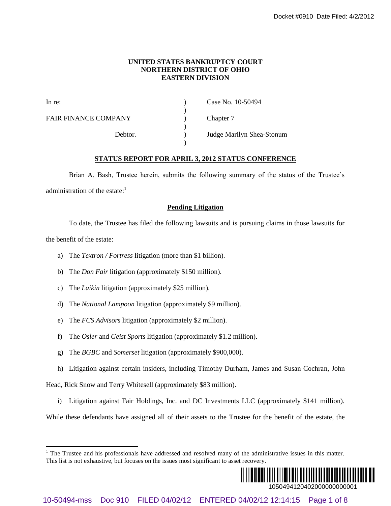### **UNITED STATES BANKRUPTCY COURT NORTHERN DISTRICT OF OHIO EASTERN DIVISION**

|                                                                                                                                                                                                                            |                                                                                    |  | Docket #0910 Date Filed: 4/2/2012                           |
|----------------------------------------------------------------------------------------------------------------------------------------------------------------------------------------------------------------------------|------------------------------------------------------------------------------------|--|-------------------------------------------------------------|
| UNITED STATES BANKRUPTCY COURT<br><b>NORTHERN DISTRICT OF OHIO</b><br><b>EASTERN DIVISION</b>                                                                                                                              |                                                                                    |  |                                                             |
| In re:                                                                                                                                                                                                                     | <b>FAIR FINANCE COMPANY</b><br>Debtor.                                             |  | Case No. 10-50494<br>Chapter 7<br>Judge Marilyn Shea-Stonum |
|                                                                                                                                                                                                                            |                                                                                    |  |                                                             |
| <b>STATUS REPORT FOR APRIL 3, 2012 STATUS CONFERENCE</b>                                                                                                                                                                   |                                                                                    |  |                                                             |
| Brian A. Bash, Trustee herein, submits the following summary of the status of the Trustee's                                                                                                                                |                                                                                    |  |                                                             |
| administration of the estate: <sup>1</sup>                                                                                                                                                                                 |                                                                                    |  |                                                             |
|                                                                                                                                                                                                                            |                                                                                    |  | <b>Pending Litigation</b>                                   |
| To date, the Trustee has filed the following lawsuits and is pursuing claims in those lawsuits for                                                                                                                         |                                                                                    |  |                                                             |
| the benefit of the estate:                                                                                                                                                                                                 |                                                                                    |  |                                                             |
| The Textron / Fortress litigation (more than \$1 billion).<br>a)                                                                                                                                                           |                                                                                    |  |                                                             |
| b)                                                                                                                                                                                                                         | The <i>Don Fair</i> litigation (approximately \$150 million).                      |  |                                                             |
| $\mathcal{C}$ )                                                                                                                                                                                                            | The Laikin litigation (approximately \$25 million).                                |  |                                                             |
| d)                                                                                                                                                                                                                         | The National Lampoon litigation (approximately \$9 million).                       |  |                                                             |
| e)                                                                                                                                                                                                                         | The FCS Advisors litigation (approximately \$2 million).                           |  |                                                             |
| f)                                                                                                                                                                                                                         | The <i>Osler</i> and <i>Geist Sports</i> litigation (approximately \$1.2 million). |  |                                                             |
| g)                                                                                                                                                                                                                         | The BGBC and Somerset litigation (approximately \$900,000).                        |  |                                                             |
| Litigation against certain insiders, including Timothy Durham, James and Susan Cochran, John<br>h)                                                                                                                         |                                                                                    |  |                                                             |
| Head, Rick Snow and Terry Whitesell (approximately \$83 million).                                                                                                                                                          |                                                                                    |  |                                                             |
| Litigation against Fair Holdings, Inc. and DC Investments LLC (approximately \$141 million).<br>$\mathbf{i}$                                                                                                               |                                                                                    |  |                                                             |
| While these defendants have assigned all of their assets to the Trustee for the benefit of the estate, the                                                                                                                 |                                                                                    |  |                                                             |
| <sup>1</sup> The Trustee and his professionals have addressed and resolved many of the administrative issues in this matter.<br>This list is not exhaustive, but focuses on the issues most significant to asset recovery. |                                                                                    |  |                                                             |
|                                                                                                                                                                                                                            |                                                                                    |  | 1050494120402000000000001                                   |
| Doc 910<br>FILED 04/02/12 ENTERED 04/02/12 12:14:15<br>10-50494-mss<br>Page 1 of 8                                                                                                                                         |                                                                                    |  |                                                             |

### **STATUS REPORT FOR APRIL 3, 2012 STATUS CONFERENCE**

### **Pending Litigation**

- a) The *Textron / Fortress* litigation (more than \$1 billion).
- b) The *Don Fair* litigation (approximately \$150 million).
- c) The *Laikin* litigation (approximately \$25 million).
- d) The *National Lampoon* litigation (approximately \$9 million).
- e) The *FCS Advisors* litigation (approximately \$2 million).
- f) The *Osler* and *Geist Sports* litigation (approximately \$1.2 million).
- g) The *BGBC* and *Somerset* litigation (approximately \$900,000).
- h) Litigation against certain insiders, including Timothy Durham, James and Susan Cochran, John

 $1$  The Trustee and his professionals have addressed and resolved many of the administrative issues in this matter. This list is not exhaustive, but focuses on the issues most significant to asset recovery.

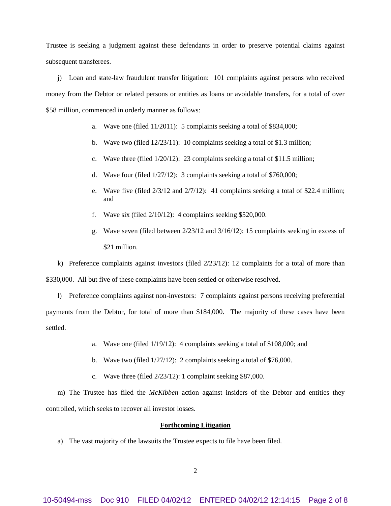Trustee is seeking a judgment against these defendants in order to preserve potential claims against subsequent transferees.

j) Loan and state-law fraudulent transfer litigation: 101 complaints against persons who received money from the Debtor or related persons or entities as loans or avoidable transfers, for a total of over \$58 million, commenced in orderly manner as follows:

- a. Wave one (filed 11/2011): 5 complaints seeking a total of \$834,000;
- b. Wave two (filed 12/23/11): 10 complaints seeking a total of \$1.3 million;
- c. Wave three (filed 1/20/12): 23 complaints seeking a total of \$11.5 million;
- d. Wave four (filed 1/27/12): 3 complaints seeking a total of \$760,000;
- e. Wave five (filed  $2/3/12$  and  $2/7/12$ ): 41 complaints seeking a total of \$22.4 million; and
- f. Wave six (filed 2/10/12): 4 complaints seeking \$520,000.
- g. Wave seven (filed between 2/23/12 and 3/16/12): 15 complaints seeking in excess of \$21 million.

k) Preference complaints against investors (filed  $2/23/12$ ): 12 complaints for a total of more than \$330,000. All but five of these complaints have been settled or otherwise resolved.

l) Preference complaints against non-investors: 7 complaints against persons receiving preferential payments from the Debtor, for total of more than \$184,000. The majority of these cases have been settled.

- a. Wave one (filed 1/19/12): 4 complaints seeking a total of \$108,000; and
- b. Wave two (filed 1/27/12): 2 complaints seeking a total of \$76,000.
- c. Wave three (filed 2/23/12): 1 complaint seeking \$87,000.

m) The Trustee has filed the *McKibben* action against insiders of the Debtor and entities they controlled, which seeks to recover all investor losses.

### **Forthcoming Litigation**

a) The vast majority of the lawsuits the Trustee expects to file have been filed.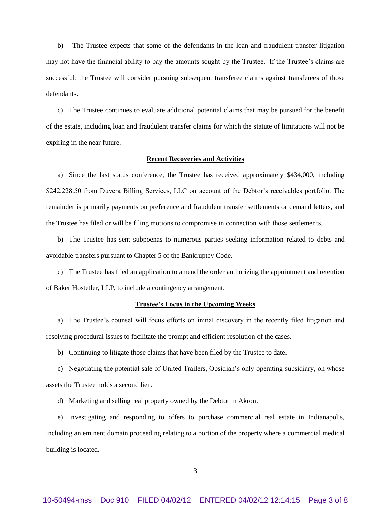b) The Trustee expects that some of the defendants in the loan and fraudulent transfer litigation may not have the financial ability to pay the amounts sought by the Trustee. If the Trustee's claims are successful, the Trustee will consider pursuing subsequent transferee claims against transferees of those defendants.

c) The Trustee continues to evaluate additional potential claims that may be pursued for the benefit of the estate, including loan and fraudulent transfer claims for which the statute of limitations will not be expiring in the near future.

#### **Recent Recoveries and Activities**

a) Since the last status conference, the Trustee has received approximately \$434,000, including \$242,228.50 from Duvera Billing Services, LLC on account of the Debtor's receivables portfolio. The remainder is primarily payments on preference and fraudulent transfer settlements or demand letters, and the Trustee has filed or will be filing motions to compromise in connection with those settlements.

b) The Trustee has sent subpoenas to numerous parties seeking information related to debts and avoidable transfers pursuant to Chapter 5 of the Bankruptcy Code.

c) The Trustee has filed an application to amend the order authorizing the appointment and retention of Baker Hostetler, LLP, to include a contingency arrangement.

### **Trustee's Focus in the Upcoming Weeks**

a) The Trustee's counsel will focus efforts on initial discovery in the recently filed litigation and resolving procedural issues to facilitate the prompt and efficient resolution of the cases.

b) Continuing to litigate those claims that have been filed by the Trustee to date.

c) Negotiating the potential sale of United Trailers, Obsidian's only operating subsidiary, on whose assets the Trustee holds a second lien.

d) Marketing and selling real property owned by the Debtor in Akron.

e) Investigating and responding to offers to purchase commercial real estate in Indianapolis, including an eminent domain proceeding relating to a portion of the property where a commercial medical building is located.

3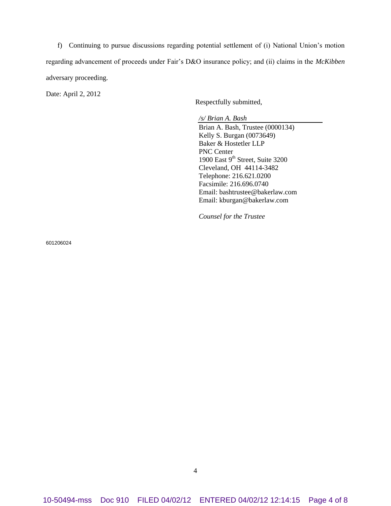f) Continuing to pursue discussions regarding potential settlement of (i) National Union's motion regarding advancement of proceeds under Fair's D&O insurance policy; and (ii) claims in the *McKibben* adversary proceeding.

Date: April 2, 2012

Respectfully submitted,

*/s/ Brian A. Bash*

Brian A. Bash, Trustee (0000134) Kelly S. Burgan (0073649) Baker & Hostetler LLP PNC Center 1900 East  $9<sup>th</sup>$  Street, Suite 3200 Cleveland, OH 44114-3482 Telephone: 216.621.0200 Facsimile: 216.696.0740 Email: bashtrustee@bakerlaw.com Email: kburgan@bakerlaw.com

*Counsel for the Trustee*

601206024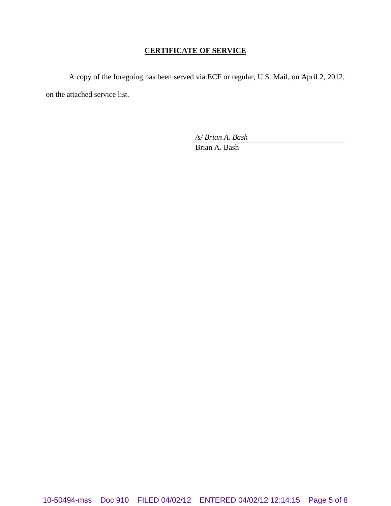## **CERTIFICATE OF SERVICE**

A copy of the foregoing has been served via ECF or regular, U.S. Mail, on April 2, 2012, on the attached service list.

*/s/ Brian A. Bash*

Brian A. Bash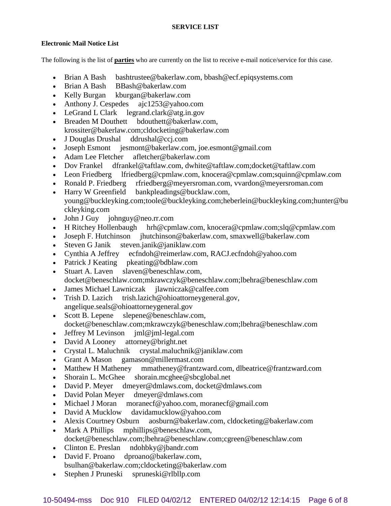# **SERVICE LIST**

## **Electronic Mail Notice List**

The following is the list of **parties** who are currently on the list to receive e-mail notice/service for this case.

- Brian A Bash bashtrustee@bakerlaw.com, bbash@ecf.epiqsystems.com
- Brian A Bash BBash@bakerlaw.com
- Kelly Burgan kburgan@bakerlaw.com
- Anthony J. Cespedes ajc1253@yahoo.com
- LeGrand L Clark legrand.clark@atg.in.gov
- Breaden M Douthett bdouthett@bakerlaw.com, krossiter@bakerlaw.com;cldocketing@bakerlaw.com
- J Douglas Drushal ddrushal@ccj.com
- Joseph Esmont jesmont@bakerlaw.com, joe.esmont@gmail.com
- Adam Lee Fletcher afletcher@bakerlaw.com
- Dov Frankel dfrankel@taftlaw.com, dwhite@taftlaw.com;docket@taftlaw.com
- Leon Friedberg lfriedberg@cpmlaw.com, knocera@cpmlaw.com;squinn@cpmlaw.com
- Ronald P. Friedberg rfriedberg@meyersroman.com, vvardon@meyersroman.com
- Harry W Greenfield bankpleadings@bucklaw.com, young@buckleyking.com;toole@buckleyking.com;heberlein@buckleyking.com;hunter@bu ckleyking.com
- John J Guy johnguy@neo.rr.com
- H Ritchey Hollenbaugh hrh@cpmlaw.com, knocera@cpmlaw.com;slq@cpmlaw.com
- Joseph F. Hutchinson jhutchinson@bakerlaw.com, smaxwell@bakerlaw.com
- Steven G Janik steven.janik@janiklaw.com
- Cynthia A Jeffrey ecfndoh@reimerlaw.com, RACJ.ecfndoh@yahoo.com
- Patrick J Keating pkeating@bdblaw.com
- Stuart A. Laven slaven@beneschlaw.com, docket@beneschlaw.com;mkrawczyk@beneschlaw.com;lbehra@beneschlaw.com
- James Michael Lawniczak jlawniczak@calfee.com
- Trish D. Lazich trish.lazich@ohioattorneygeneral.gov, angelique.seals@ohioattorneygeneral.gov
- Scott B. Lepene slepene@beneschlaw.com, docket@beneschlaw.com;mkrawczyk@beneschlaw.com;lbehra@beneschlaw.com
- Jeffrey M Levinson jml@jml-legal.com
- David A Looney attorney@bright.net
- Crystal L. Maluchnik crystal.maluchnik@janiklaw.com
- Grant A Mason gamason@millermast.com
- Matthew H Matheney mmatheney@frantzward.com, dlbeatrice@frantzward.com
- Shorain L. McGhee shorain.mcghee@sbcglobal.net
- David P. Meyer dmeyer@dmlaws.com, docket@dmlaws.com
- David Polan Meyer dmeyer@dmlaws.com
- Michael J Moran moranecf@yahoo.com, moranecf@gmail.com
- David A Mucklow davidamucklow@yahoo.com
- Alexis Courtney Osburn aosburn@bakerlaw.com, cldocketing@bakerlaw.com
- Mark A Phillips mphillips@beneschlaw.com, docket@beneschlaw.com;lbehra@beneschlaw.com;cgreen@beneschlaw.com
- Clinton E. Preslan ndohbky@jbandr.com
- David F. Proano dproano@bakerlaw.com, bsulhan@bakerlaw.com;cldocketing@bakerlaw.com
- Stephen J Pruneski spruneski@rlbllp.com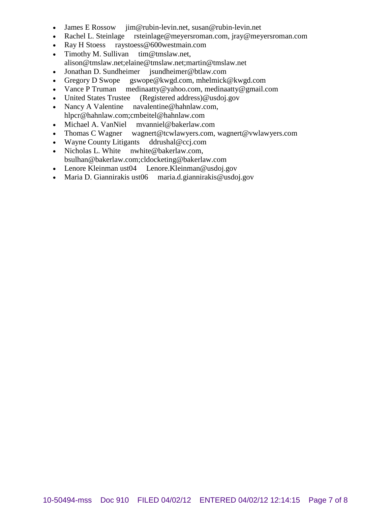- 
- James E Rossow jim@rubin-levin.net, susan@rubin-levin.net<br>• Rachel L. Steinlage rsteinlage@meyersroman.com, jray@mey rsteinlage@meyersroman.com, jray@meyersroman.com
- Ray H Stoess raystoess@600westmain.com
- Timothy M. Sullivan tim@tmslaw.net,
- alison@tmslaw.net;elaine@tmslaw.net;martin@tmslaw.net
- Jonathan D. Sundheimer jsundheimer@btlaw.com
- Gregory D Swope gswope@kwgd.com, mhelmick@kwgd.com
- Vance P Truman medinaatty@yahoo.com, medinaatty@gmail.com
- United States Trustee (Registered address)@usdoj.gov
- Nancy A Valentine navalentine@hahnlaw.com, hlpcr@hahnlaw.com;cmbeitel@hahnlaw.com
- Michael A. VanNiel mvanniel@bakerlaw.com
- Thomas C Wagner wagnert@tcwlawyers.com, wagnert@vwlawyers.com
- Wayne County Litigants ddrushal@ccj.com
- Nicholas L. White nwhite@bakerlaw.com, bsulhan@bakerlaw.com;cldocketing@bakerlaw.com
- Lenore Kleinman ust04 Lenore.Kleinman@usdoj.gov
- Maria D. Giannirakis ust06 maria.d.giannirakis@usdoj.gov